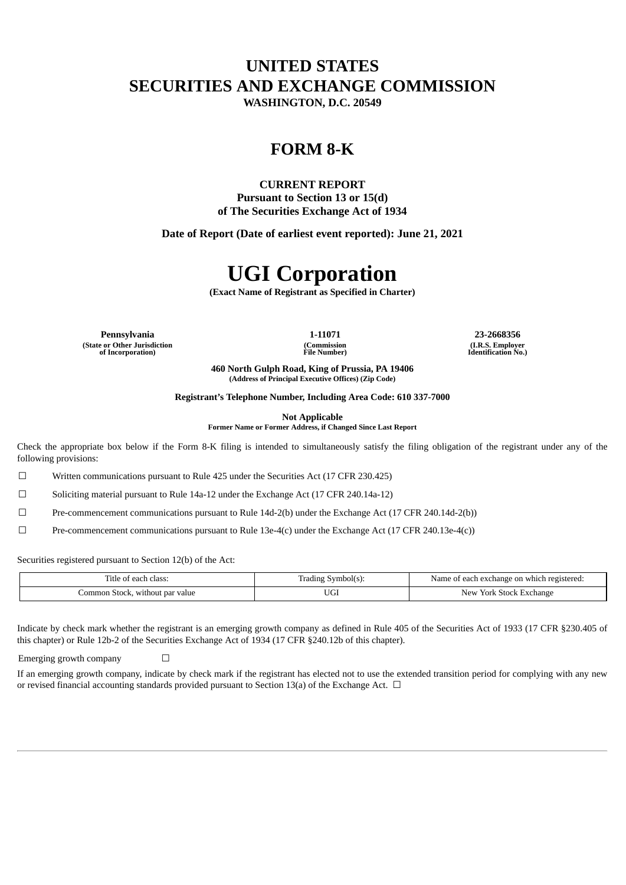## **UNITED STATES SECURITIES AND EXCHANGE COMMISSION**

**WASHINGTON, D.C. 20549**

### **FORM 8-K**

### **CURRENT REPORT**

**Pursuant to Section 13 or 15(d) of The Securities Exchange Act of 1934**

**Date of Report (Date of earliest event reported): June 21, 2021**

# **UGI Corporation**

**(Exact Name of Registrant as Specified in Charter)**

**Pennsylvania 1-11071 23-2668356 (State or Other Jurisdiction of Incorporation)**

**(Commission File Number)**

**(I.R.S. Employer Identification No.)**

**460 North Gulph Road, King of Prussia, PA 19406 (Address of Principal Executive Offices) (Zip Code)**

**Registrant's Telephone Number, Including Area Code: 610 337-7000**

**Not Applicable**

**Former Name or Former Address, if Changed Since Last Report**

Check the appropriate box below if the Form 8-K filing is intended to simultaneously satisfy the filing obligation of the registrant under any of the following provisions:

☐ Written communications pursuant to Rule 425 under the Securities Act (17 CFR 230.425)

☐ Soliciting material pursuant to Rule 14a-12 under the Exchange Act (17 CFR 240.14a-12)

 $\Box$  Pre-commencement communications pursuant to Rule 14d-2(b) under the Exchange Act (17 CFR 240.14d-2(b))

 $\Box$  Pre-commencement communications pursuant to Rule 13e-4(c) under the Exchange Act (17 CFR 240.13e-4(c))

Securities registered pursuant to Section 12(b) of the Act:

| Title of each class:            | Symbol(s):<br>Fradıng | Name of each exchange on which registered: |
|---------------------------------|-----------------------|--------------------------------------------|
| Common Stock, without par value | <b>UG1</b>            | <sup>.</sup> York Stock Exchange<br>New    |

Indicate by check mark whether the registrant is an emerging growth company as defined in Rule 405 of the Securities Act of 1933 (17 CFR §230.405 of this chapter) or Rule 12b-2 of the Securities Exchange Act of 1934 (17 CFR §240.12b of this chapter).

Emerging growth company  $\Box$ 

If an emerging growth company, indicate by check mark if the registrant has elected not to use the extended transition period for complying with any new or revised financial accounting standards provided pursuant to Section 13(a) of the Exchange Act.  $\Box$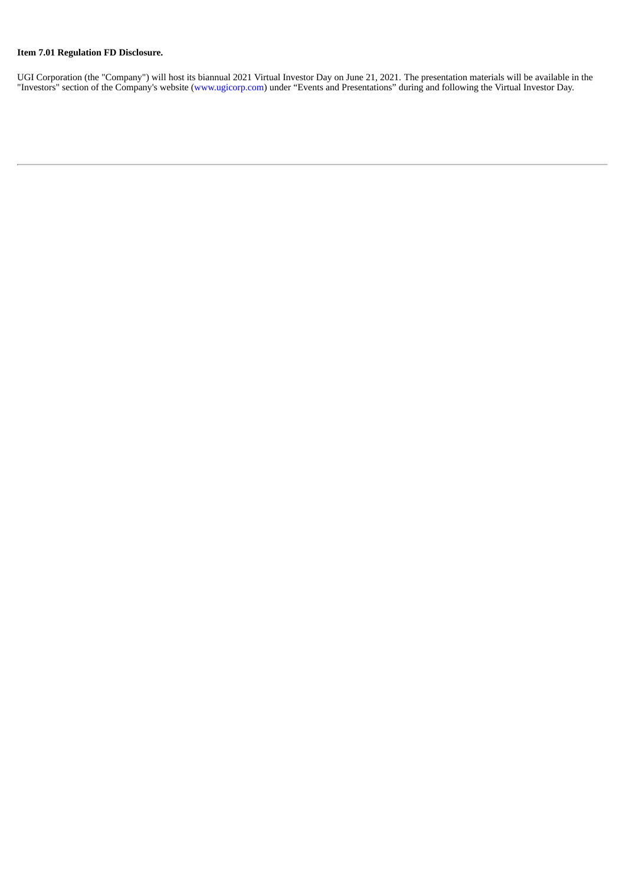#### **Item 7.01 Regulation FD Disclosure.**

UGI Corporation (the "Company") will host its biannual 2021 Virtual Investor Day on June 21, 2021. The presentation materials will be available in the "Investors" section of the Company's website (www.ugicorp.com) under "Events and Presentations" during and following the Virtual Investor Day.